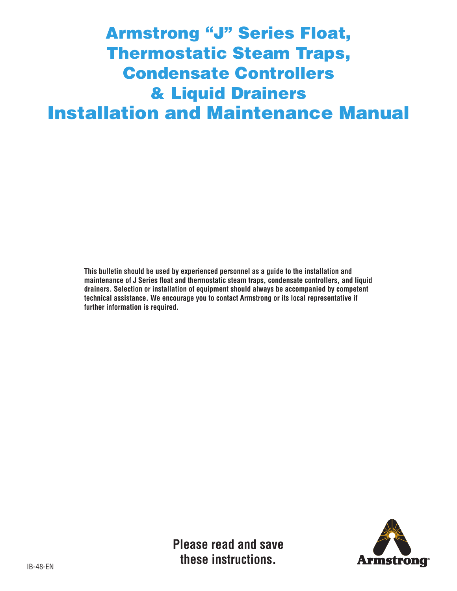# Armstrong "J" Series Float, Thermostatic Steam Traps, Condensate Controllers & Liquid Drainers Installation and Maintenance Manual

**This bulletin should be used by experienced personnel as a guide to the installation and maintenance of J Series float and thermostatic steam traps, condensate controllers, and liquid drainers. Selection or installation of equipment should always be accompanied by competent technical assistance. We encourage you to contact Armstrong or its local representative if further information is required.**



**Please read and save these instructions.**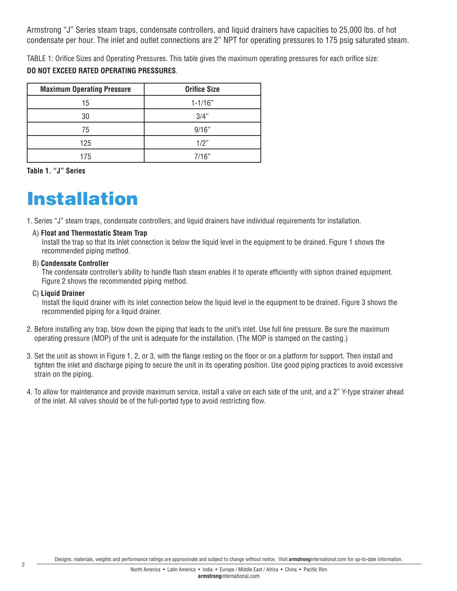Armstrong "J" Series steam traps, condensate controllers, and liquid drainers have capacities to 25,000 lbs. of hot condensate per hour. The inlet and outlet connections are 2" NPT for operating pressures to 175 psig saturated steam.

TABLE 1: Orifice Sizes and Operating Pressures. This table gives the maximum operating pressures for each orifice size: **DO NOT EXCEED RATED OPERATING PRESSURES**.

| <b>Maximum Operating Pressure</b> | <b>Orifice Size</b> |
|-----------------------------------|---------------------|
| 15                                | $1 - 1/16"$         |
| 30                                | 3/4"                |
| 75                                | 9/16"               |
| 125                               | 1/2"                |
| 175                               | 7/16"               |

**Table 1. "J" Series**

# Installation

- 1. Series "J" steam traps, condensate controllers, and liquid drainers have individual requirements for installation.
- A) **Float and Thermostatic Steam Trap**

Install the trap so that its inlet connection is below the liquid level in the equipment to be drained. Figure 1 shows the recommended piping method.

### B) **Condensate Controller**

The condensate controller's ability to handle flash steam enables it to operate efficiently with siphon drained equipment. Figure 2 shows the recommended piping method.

#### C) **Liquid Drainer**

Install the liquid drainer with its inlet connection below the liquid level in the equipment to be drained. Figure 3 shows the recommended piping for a liquid drainer.

- 2. Before installing any trap, blow down the piping that leads to the unit's inlet. Use full line pressure. Be sure the maximum operating pressure (MOP) of the unit is adequate for the installation. (The MOP is stamped on the casting.)
- 3. Set the unit as shown in Figure 1, 2, or 3, with the flange resting on the floor or on a platform for support. Then install and tighten the inlet and discharge piping to secure the unit in its operating position. Use good piping practices to avoid excessive strain on the piping.
- 4. To allow for maintenance and provide maximum service, install a valve on each side of the unit, and a 2" Y-type strainer ahead of the inlet. All valves should be of the full-ported type to avoid restricting flow.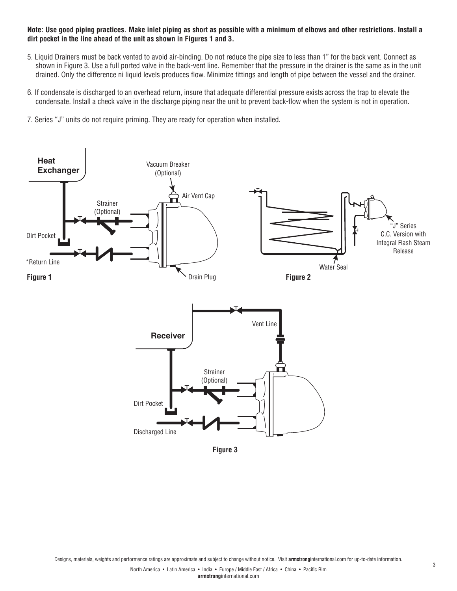#### **Note: Use good piping practices. Make inlet piping as short as possible with a minimum of elbows and other restrictions. Install a dirt pocket in the line ahead of the unit as shown in Figures 1 and 3.**

- 5. Liquid Drainers must be back vented to avoid air-binding. Do not reduce the pipe size to less than 1" for the back vent. Connect as shown in Figure 3. Use a full ported valve in the back-vent line. Remember that the pressure in the drainer is the same as in the unit drained. Only the difference ni liquid levels produces flow. Minimize fittings and length of pipe between the vessel and the drainer.
- 6. If condensate is discharged to an overhead return, insure that adequate differential pressure exists across the trap to elevate the condensate. Install a check valve in the discharge piping near the unit to prevent back-flow when the system is not in operation.
- 7. Series "J" units do not require priming. They are ready for operation when installed.

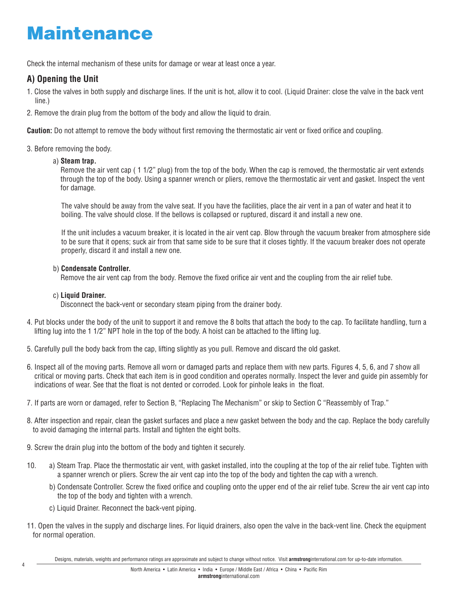# Maintenance

Check the internal mechanism of these units for damage or wear at least once a year.

# **A) Opening the Unit**

- 1. Close the valves in both supply and discharge lines. If the unit is hot, allow it to cool. (Liquid Drainer: close the valve in the back vent line.)
- 2. Remove the drain plug from the bottom of the body and allow the liquid to drain.

**Caution:** Do not attempt to remove the body without first removing the thermostatic air vent or fixed orifice and coupling.

### 3. Before removing the body.

## a) **Steam trap.**

Remove the air vent cap ( 1 1/2" plug) from the top of the body. When the cap is removed, the thermostatic air vent extends through the top of the body. Using a spanner wrench or pliers, remove the thermostatic air vent and gasket. Inspect the vent for damage.

The valve should be away from the valve seat. If you have the facilities, place the air vent in a pan of water and heat it to boiling. The valve should close. If the bellows is collapsed or ruptured, discard it and install a new one.

If the unit includes a vacuum breaker, it is located in the air vent cap. Blow through the vacuum breaker from atmosphere side to be sure that it opens; suck air from that same side to be sure that it closes tightly. If the vacuum breaker does not operate properly, discard it and install a new one.

## b) **Condensate Controller.**

Remove the air vent cap from the body. Remove the fixed orifice air vent and the coupling from the air relief tube.

## c) **Liquid Drainer.**

Disconnect the back-vent or secondary steam piping from the drainer body.

- 4. Put blocks under the body of the unit to support it and remove the 8 bolts that attach the body to the cap. To facilitate handling, turn a lifting lug into the 1 1/2" NPT hole in the top of the body. A hoist can be attached to the lifting lug.
- 5. Carefully pull the body back from the cap, lifting slightly as you pull. Remove and discard the old gasket.
- 6. Inspect all of the moving parts. Remove all worn or damaged parts and replace them with new parts. Figures 4, 5, 6, and 7 show all critical or moving parts. Check that each item is in good condition and operates normally. Inspect the lever and guide pin assembly for indications of wear. See that the float is not dented or corroded. Look for pinhole leaks in the float.
- 7. If parts are worn or damaged, refer to Section B, "Replacing The Mechanism" or skip to Section C "Reassembly of Trap."
- 8. After inspection and repair, clean the gasket surfaces and place a new gasket between the body and the cap. Replace the body carefully to avoid damaging the internal parts. Install and tighten the eight bolts.
- 9. Screw the drain plug into the bottom of the body and tighten it securely.
- 10. a) Steam Trap. Place the thermostatic air vent, with gasket installed, into the coupling at the top of the air relief tube. Tighten with a spanner wrench or pliers. Screw the air vent cap into the top of the body and tighten the cap with a wrench.
	- b) Condensate Controller. Screw the fixed orifice and coupling onto the upper end of the air relief tube. Screw the air vent cap into the top of the body and tighten with a wrench.
	- c) Liquid Drainer. Reconnect the back-vent piping.
- 11. Open the valves in the supply and discharge lines. For liquid drainers, also open the valve in the back-vent line. Check the equipment for normal operation.

Designs, materials, weights and performance ratings are approximate and subject to change without notice. Visit **armstrong**international.com for up-to-date information.

4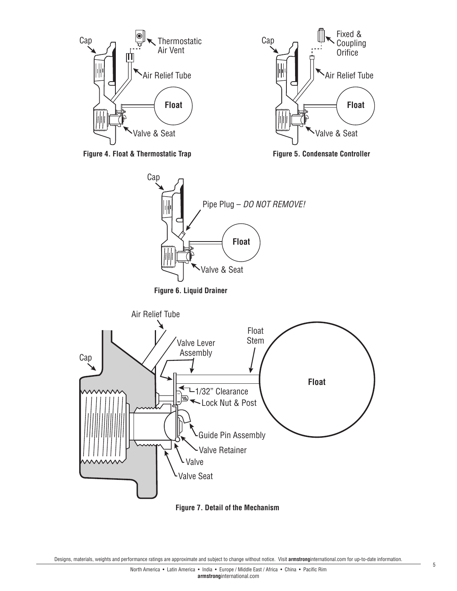





**Figure 7. Detail of the Mechanism**

Designs, materials, weights and performance ratings are approximate and subject to change without notice. Visit **armstrong**international.com for up-to-date information.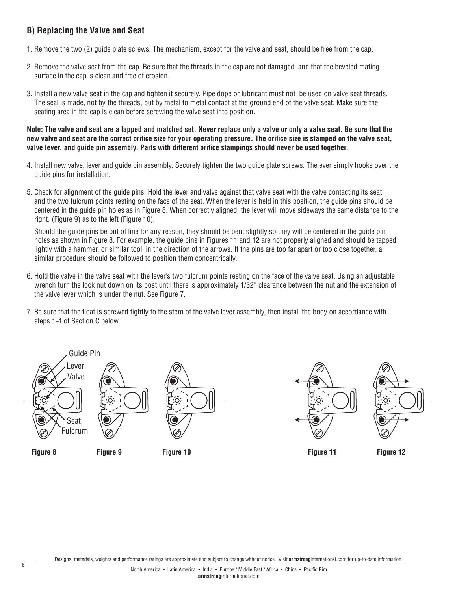# **B) Replacing the Valve and Seat**

- 1. Remove the two (2) guide plate screws. The mechanism, except for the valve and seat, should be free from the cap.
- 2. Remove the valve seat from the cap. Be sure that the threads in the cap are not damaged and that the beveled mating surface in the cap is clean and free of erosion.
- 3. Install a new valve seat in the cap and tighten it securely. Pipe dope or lubricant must not be used on valve seat threads. The seal is made, not by the threads, but by metal to metal contact at the ground end of the valve seat. Make sure the seating area in the cap is clean before screwing the valve seat into position.

**Note: The valve and seat are a lapped and matched set. Never replace only a valve or only a valve seat. Be sure that the new valve and seat are the correct orifice size for your operating pressure. The orifice size is stamped on the valve seat, valve lever, and guide pin assembly. Parts with different orifice stampings should never be used together.** 

- 4. Install new valve, lever and guide pin assembly. Securely tighten the two guide plate screws. The ever simply hooks over the guide pins for installation.
- 5. Check for alignment of the guide pins. Hold the lever and valve against that valve seat with the valve contacting its seat and the two fulcrum points resting on the face of the seat. When the lever is held in this position, the guide pins should be centered in the guide pin holes as in Figure 8. When correctly aligned, the lever will move sideways the same distance to the right. (Figure 9) as to the left (Figure 10).

Should the guide pins be out of line for any reason, they should be bent slightly so they will be centered in the guide pin holes as shown in Figure 8. For example, the quide pins in Figures 11 and 12 are not properly aligned and should be tapped lightly with a hammer, or similar tool, in the direction of the arrows. If the pins are too far apart or too close together, a similar procedure should be followed to position them concentrically.

- 6. Hold the valve in the valve seat with the lever's two fulcrum points resting on the face of the valve seat. Using an adjustable wrench turn the lock nut down on its post until there is approximately 1/32" clearance between the nut and the extension of the valve lever which is under the nut. See Figure 7.
- 7. Be sure that the float is screwed tightly to the stem of the valve lever assembly, then install the body on accordance with steps 1-4 of Section C below.



**Figure 8 Figure 9 Figure 10 Figure 11 Figure 12**



Designs, materials, weights and performance ratings are approximate and subject to change without notice. Visit **armstrong**international.com for up-to-date information.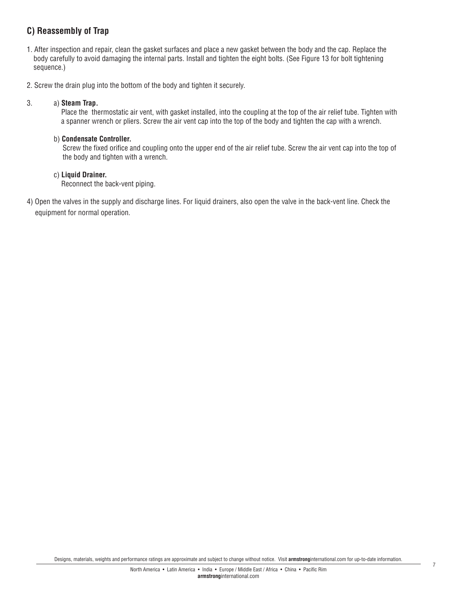# **C) Reassembly of Trap**

- 1. After inspection and repair, clean the gasket surfaces and place a new gasket between the body and the cap. Replace the body carefully to avoid damaging the internal parts. Install and tighten the eight bolts. (See Figure 13 for bolt tightening sequence.)
- 2. Screw the drain plug into the bottom of the body and tighten it securely.

## 3. a) **Steam Trap.**

Place the thermostatic air vent, with gasket installed, into the coupling at the top of the air relief tube. Tighten with a spanner wrench or pliers. Screw the air vent cap into the top of the body and tighten the cap with a wrench.

### b) **Condensate Controller.**

Screw the fixed orifice and coupling onto the upper end of the air relief tube. Screw the air vent cap into the top of the body and tighten with a wrench.

### c) **Liquid Drainer.**

Reconnect the back-vent piping.

4) Open the valves in the supply and discharge lines. For liquid drainers, also open the valve in the back-vent line. Check the equipment for normal operation.